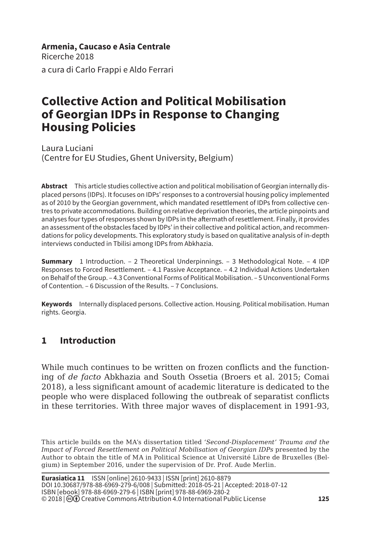**Armenia, Caucaso e Asia Centrale** Ricerche 2018 a cura di Carlo Frappi e Aldo Ferrari

# **Collective Action and Political Mobilisation of Georgian IDPs in Response to Changing Housing Policies**

Laura Luciani (Centre for EU Studies, Ghent University, Belgium)

**Abstract** This article studies collective action and political mobilisation of Georgian internally displaced persons (IDPs). It focuses on IDPs' responses to a controversial housing policy implemented as of 2010 by the Georgian government, which mandated resettlement of IDPs from collective centres to private accommodations. Building on relative deprivation theories, the article pinpoints and analyses four types of responses shown by IDPs in the aftermath of resettlement. Finally, it provides an assessment of the obstacles faced by IDPs' in their collective and political action, and recommendations for policy developments. This exploratory study is based on qualitative analysis of in-depth interviews conducted in Tbilisi among IDPs from Abkhazia.

**Summary** 1 Introduction. – 2 Theoretical Underpinnings. – 3 Methodological Note. – 4 IDP Responses to Forced Resettlement. – 4.1 Passive Acceptance. – 4.2 Individual Actions Undertaken on Behalf of the Group. – 4.3 Conventional Forms of Political Mobilisation. – 5 Unconventional Forms of Contention. – 6 Discussion of the Results. – 7 Conclusions.

**Keywords** Internally displaced persons. Collective action. Housing. Political mobilisation. Human rights. Georgia.

## **1 Introduction**

While much continues to be written on frozen conflicts and the functioning of *de facto* Abkhazia and South Ossetia (Broers et al. 2015; Comai 2018), a less significant amount of academic literature is dedicated to the people who were displaced following the outbreak of separatist conflicts in these territories. With three major waves of displacement in 1991-93,

This article builds on the MA's dissertation titled '*Second-Displacement' Trauma and the Impact of Forced Resettlement on Political Mobilisation of Georgian IDPs* presented by the Author to obtain the title of MA in Political Science at Université Libre de Bruxelles (Belgium) in September 2016, under the supervision of Dr. Prof. Aude Merlin.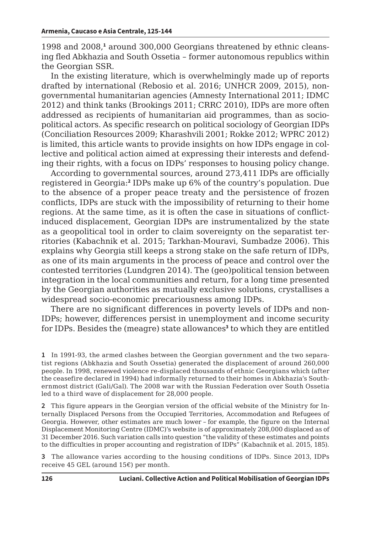1998 and 2008,<sup>1</sup> around 300,000 Georgians threatened by ethnic cleansing fled Abkhazia and South Ossetia – former autonomous republics within the Georgian SSR.

In the existing literature, which is overwhelmingly made up of reports drafted by international (Rebosio et al. 2016; UNHCR 2009, 2015), nongovernmental humanitarian agencies (Amnesty International 2011; IDMC 2012) and think tanks (Brookings 2011; CRRC 2010), IDPs are more often addressed as recipients of humanitarian aid programmes, than as sociopolitical actors. As specific research on political sociology of Georgian IDPs (Conciliation Resources 2009; Kharashvili 2001; Rokke 2012; WPRC 2012) is limited, this article wants to provide insights on how IDPs engage in collective and political action aimed at expressing their interests and defending their rights, with a focus on IDPs' responses to housing policy change.

According to governmental sources, around 273,411 IDPs are officially registered in Georgia:**<sup>2</sup>** IDPs make up 6% of the country's population. Due to the absence of a proper peace treaty and the persistence of frozen conflicts, IDPs are stuck with the impossibility of returning to their home regions. At the same time, as it is often the case in situations of conflictinduced displacement, Georgian IDPs are instrumentalized by the state as a geopolitical tool in order to claim sovereignty on the separatist territories (Kabachnik et al. 2015; Tarkhan-Mouravi, Sumbadze 2006). This explains why Georgia still keeps a strong stake on the safe return of IDPs, as one of its main arguments in the process of peace and control over the contested territories (Lundgren 2014). The (geo)political tension between integration in the local communities and return, for a long time presented by the Georgian authorities as mutually exclusive solutions, crystallises a widespread socio-economic precariousness among IDPs.

There are no significant differences in poverty levels of IDPs and non-IDPs; however, differences persist in unemployment and income security for IDPs. Besides the (meagre) state allowances**<sup>3</sup>** to which they are entitled

**2** This figure appears in the Georgian version of the official website of the Ministry for Internally Displaced Persons from the Occupied Territories, Accommodation and Refugees of Georgia. However, other estimates are much lower – for example, the figure on the Internal Displacement Monitoring Centre (IDMC)'s website is of approximately 208,000 displaced as of 31 December 2016. Such variation calls into question "the validity of these estimates and points to the difficulties in proper accounting and registration of IDPs" (Kabachnik et al. 2015, 185).

**3** The allowance varies according to the housing conditions of IDPs. Since 2013, IDPs receive 45 GEL (around 15€) per month.

**<sup>1</sup>** In 1991-93, the armed clashes between the Georgian government and the two separatist regions (Abkhazia and South Ossetia) generated the displacement of around 260,000 people. In 1998, renewed violence re-displaced thousands of ethnic Georgians which (after the ceasefire declared in 1994) had informally returned to their homes in Abkhazia's Southernmost district (Gali/Gal). The 2008 war with the Russian Federation over South Ossetia led to a third wave of displacement for 28,000 people.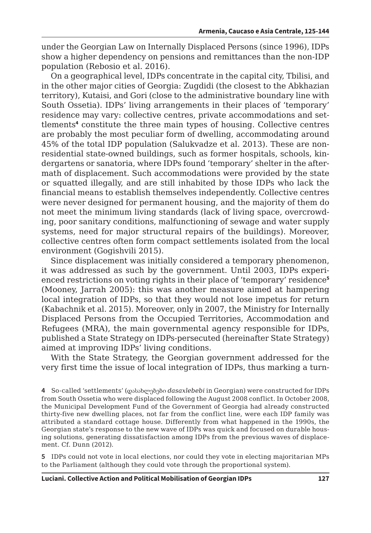under the Georgian Law on Internally Displaced Persons (since 1996), IDPs show a higher dependency on pensions and remittances than the non-IDP population (Rebosio et al. 2016).

On a geographical level, IDPs concentrate in the capital city, Tbilisi, and in the other major cities of Georgia: Zugdidi (the closest to the Abkhazian territory), Kutaisi, and Gori (close to the administrative boundary line with South Ossetia). IDPs' living arrangements in their places of 'temporary' residence may vary: collective centres, private accommodations and settlements**<sup>4</sup>** constitute the three main types of housing. Collective centres are probably the most peculiar form of dwelling, accommodating around 45% of the total IDP population (Salukvadze et al. 2013). These are nonresidential state-owned buildings, such as former hospitals, schools, kindergartens or sanatoria, where IDPs found 'temporary' shelter in the aftermath of displacement. Such accommodations were provided by the state or squatted illegally, and are still inhabited by those IDPs who lack the financial means to establish themselves independently. Collective centres were never designed for permanent housing, and the majority of them do not meet the minimum living standards (lack of living space, overcrowding, poor sanitary conditions, malfunctioning of sewage and water supply systems, need for major structural repairs of the buildings). Moreover, collective centres often form compact settlements isolated from the local environment (Gogishvili 2015).

Since displacement was initially considered a temporary phenomenon, it was addressed as such by the government. Until 2003, IDPs experienced restrictions on voting rights in their place of 'temporary' residence**<sup>5</sup>** (Mooney, Jarrah 2005): this was another measure aimed at hampering local integration of IDPs, so that they would not lose impetus for return (Kabachnik et al. 2015). Moreover, only in 2007, the Ministry for Internally Displaced Persons from the Occupied Territories, Accommodation and Refugees (MRA), the main governmental agency responsible for IDPs, published a State Strategy on IDPs-persecuted (hereinafter State Strategy) aimed at improving IDPs' living conditions.

With the State Strategy, the Georgian government addressed for the very first time the issue of local integration of IDPs, thus marking a turn-

**5** IDPs could not vote in local elections, nor could they vote in electing majoritarian MPs to the Parliament (although they could vote through the proportional system).

**<sup>4</sup>** So-called 'settlements' (დასახლებები *dasaxlebebi* in Georgian) were constructed for IDPs from South Ossetia who were displaced following the August 2008 conflict. In October 2008, the Municipal Development Fund of the Government of Georgia had already constructed thirty-five new dwelling places, not far from the conflict line, were each IDP family was attributed a standard cottage house. Differently from what happened in the 1990s, the Georgian state's response to the new wave of IDPs was quick and focused on durable housing solutions, generating dissatisfaction among IDPs from the previous waves of displacement. Cf. Dunn (2012).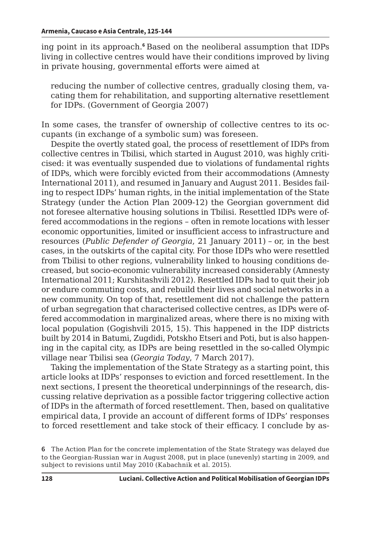ing point in its approach.**<sup>6</sup>** Based on the neoliberal assumption that IDPs living in collective centres would have their conditions improved by living in private housing, governmental efforts were aimed at

reducing the number of collective centres, gradually closing them, vacating them for rehabilitation, and supporting alternative resettlement for IDPs. (Government of Georgia 2007)

In some cases, the transfer of ownership of collective centres to its occupants (in exchange of a symbolic sum) was foreseen.

Despite the overtly stated goal, the process of resettlement of IDPs from collective centres in Tbilisi, which started in August 2010, was highly criticised: it was eventually suspended due to violations of fundamental rights of IDPs, which were forcibly evicted from their accommodations (Amnesty International 2011), and resumed in January and August 2011. Besides failing to respect IDPs' human rights, in the initial implementation of the State Strategy (under the Action Plan 2009-12) the Georgian government did not foresee alternative housing solutions in Tbilisi. Resettled IDPs were offered accommodations in the regions – often in remote locations with lesser economic opportunities, limited or insufficient access to infrastructure and resources (*Public Defender of Georgia*, 21 January 2011) – or, in the best cases, in the outskirts of the capital city. For those IDPs who were resettled from Tbilisi to other regions, vulnerability linked to housing conditions decreased, but socio-economic vulnerability increased considerably (Amnesty International 2011; Kurshitashvili 2012). Resettled IDPs had to quit their job or endure commuting costs, and rebuild their lives and social networks in a new community. On top of that, resettlement did not challenge the pattern of urban segregation that characterised collective centres, as IDPs were offered accommodation in marginalized areas, where there is no mixing with local population (Gogishvili 2015, 15). This happened in the IDP districts built by 2014 in Batumi, Zugdidi, Potskho Etseri and Poti, but is also happening in the capital city, as IDPs are being resettled in the so-called Olympic village near Tbilisi sea (*Georgia Today*, 7 March 2017).

Taking the implementation of the State Strategy as a starting point, this article looks at IDPs' responses to eviction and forced resettlement. In the next sections, I present the theoretical underpinnings of the research, discussing relative deprivation as a possible factor triggering collective action of IDPs in the aftermath of forced resettlement. Then, based on qualitative empirical data, I provide an account of different forms of IDPs' responses to forced resettlement and take stock of their efficacy. I conclude by as-

**<sup>6</sup>** The Action Plan for the concrete implementation of the State Strategy was delayed due to the Georgian-Russian war in August 2008, put in place (unevenly) starting in 2009, and subject to revisions until May 2010 (Kabachnik et al. 2015).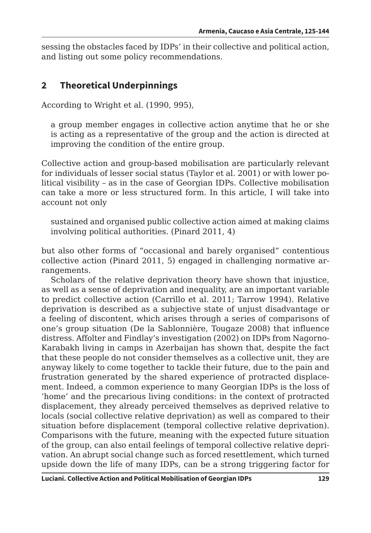sessing the obstacles faced by IDPs' in their collective and political action, and listing out some policy recommendations.

## **2 Theoretical Underpinnings**

According to Wright et al. (1990, 995),

a group member engages in collective action anytime that he or she is acting as a representative of the group and the action is directed at improving the condition of the entire group.

Collective action and group-based mobilisation are particularly relevant for individuals of lesser social status (Taylor et al. 2001) or with lower political visibility – as in the case of Georgian IDPs. Collective mobilisation can take a more or less structured form. In this article, I will take into account not only

sustained and organised public collective action aimed at making claims involving political authorities. (Pinard 2011, 4)

but also other forms of "occasional and barely organised" contentious collective action (Pinard 2011, 5) engaged in challenging normative arrangements.

Scholars of the relative deprivation theory have shown that injustice, as well as a sense of deprivation and inequality, are an important variable to predict collective action (Carrillo et al. 2011; Tarrow 1994). Relative deprivation is described as a subjective state of unjust disadvantage or a feeling of discontent, which arises through a series of comparisons of one's group situation (De la Sablonnière, Tougaze 2008) that influence distress. Affolter and Findlay's investigation (2002) on IDPs from Nagorno-Karabakh living in camps in Azerbaijan has shown that, despite the fact that these people do not consider themselves as a collective unit, they are anyway likely to come together to tackle their future, due to the pain and frustration generated by the shared experience of protracted displacement. Indeed, a common experience to many Georgian IDPs is the loss of 'home' and the precarious living conditions: in the context of protracted displacement, they already perceived themselves as deprived relative to locals (social collective relative deprivation) as well as compared to their situation before displacement (temporal collective relative deprivation). Comparisons with the future, meaning with the expected future situation of the group, can also entail feelings of temporal collective relative deprivation. An abrupt social change such as forced resettlement, which turned upside down the life of many IDPs, can be a strong triggering factor for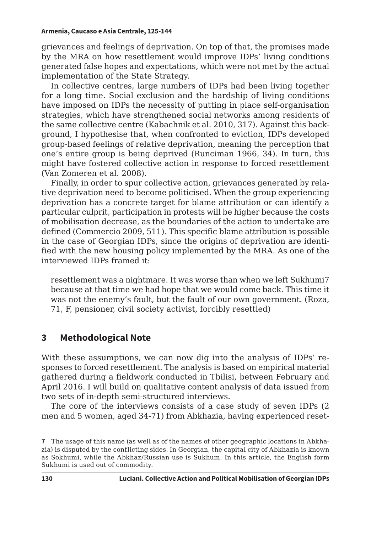grievances and feelings of deprivation. On top of that, the promises made by the MRA on how resettlement would improve IDPs' living conditions generated false hopes and expectations, which were not met by the actual implementation of the State Strategy.

In collective centres, large numbers of IDPs had been living together for a long time. Social exclusion and the hardship of living conditions have imposed on IDPs the necessity of putting in place self-organisation strategies, which have strengthened social networks among residents of the same collective centre (Kabachnik et al. 2010, 317). Against this background, I hypothesise that, when confronted to eviction, IDPs developed group-based feelings of relative deprivation, meaning the perception that one's entire group is being deprived (Runciman 1966, 34). In turn, this might have fostered collective action in response to forced resettlement (Van Zomeren et al. 2008).

Finally, in order to spur collective action, grievances generated by relative deprivation need to become politicised. When the group experiencing deprivation has a concrete target for blame attribution or can identify a particular culprit, participation in protests will be higher because the costs of mobilisation decrease, as the boundaries of the action to undertake are defined (Commercio 2009, 511). This specific blame attribution is possible in the case of Georgian IDPs, since the origins of deprivation are identified with the new housing policy implemented by the MRA. As one of the interviewed IDPs framed it:

resettlement was a nightmare. It was worse than when we left Sukhumi7 because at that time we had hope that we would come back. This time it was not the enemy's fault, but the fault of our own government. (Roza, 71, F, pensioner, civil society activist, forcibly resettled)

## **3 Methodological Note**

With these assumptions, we can now dig into the analysis of IDPs' responses to forced resettlement. The analysis is based on empirical material gathered during a fieldwork conducted in Tbilisi, between February and April 2016. I will build on qualitative content analysis of data issued from two sets of in-depth semi-structured interviews.

The core of the interviews consists of a case study of seven IDPs (2 men and 5 women, aged 34-71) from Abkhazia, having experienced reset-

**<sup>7</sup>** The usage of this name (as well as of the names of other geographic locations in Abkhazia) is disputed by the conflicting sides. In Georgian, the capital city of Abkhazia is known as Sokhumi, while the Abkhaz/Russian use is Sukhum. In this article, the English form Sukhumi is used out of commodity.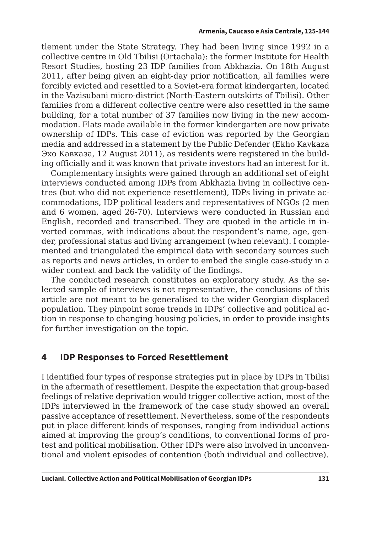tlement under the State Strategy. They had been living since 1992 in a collective centre in Old Tbilisi (Ortachala): the former Institute for Health Resort Studies, hosting 23 IDP families from Abkhazia. On 18th August 2011, after being given an eight-day prior notification, all families were forcibly evicted and resettled to a Soviet-era format kindergarten, located in the Vazisubani micro-district (North-Eastern outskirts of Tbilisi). Other families from a different collective centre were also resettled in the same building, for a total number of 37 families now living in the new accommodation. Flats made available in the former kindergarten are now private ownership of IDPs. This case of eviction was reported by the Georgian media and addressed in a statement by the Public Defender (Ekho Kavkaza Эхо Кавказа, 12 August 2011), as residents were registered in the building officially and it was known that private investors had an interest for it.

Complementary insights were gained through an additional set of eight interviews conducted among IDPs from Abkhazia living in collective centres (but who did not experience resettlement), IDPs living in private accommodations, IDP political leaders and representatives of NGOs (2 men and 6 women, aged 26-70). Interviews were conducted in Russian and English, recorded and transcribed. They are quoted in the article in inverted commas, with indications about the respondent's name, age, gender, professional status and living arrangement (when relevant). I complemented and triangulated the empirical data with secondary sources such as reports and news articles, in order to embed the single case-study in a wider context and back the validity of the findings.

The conducted research constitutes an exploratory study. As the selected sample of interviews is not representative, the conclusions of this article are not meant to be generalised to the wider Georgian displaced population. They pinpoint some trends in IDPs' collective and political action in response to changing housing policies, in order to provide insights for further investigation on the topic.

## **4 IDP Responses to Forced Resettlement**

I identified four types of response strategies put in place by IDPs in Tbilisi in the aftermath of resettlement. Despite the expectation that group-based feelings of relative deprivation would trigger collective action, most of the IDPs interviewed in the framework of the case study showed an overall passive acceptance of resettlement. Nevertheless, some of the respondents put in place different kinds of responses, ranging from individual actions aimed at improving the group's conditions, to conventional forms of protest and political mobilisation. Other IDPs were also involved in unconventional and violent episodes of contention (both individual and collective).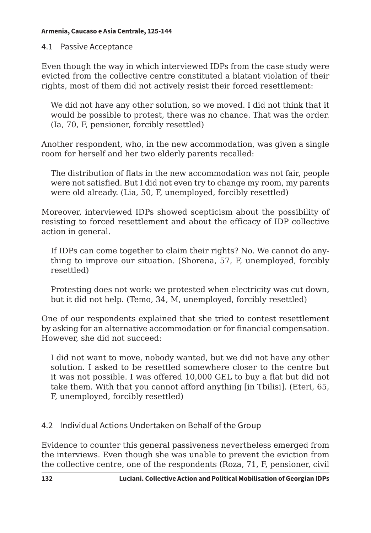#### 4.1 Passive Acceptance

Even though the way in which interviewed IDPs from the case study were evicted from the collective centre constituted a blatant violation of their rights, most of them did not actively resist their forced resettlement:

We did not have any other solution, so we moved. I did not think that it would be possible to protest, there was no chance. That was the order. (Ia, 70, F, pensioner, forcibly resettled)

Another respondent, who, in the new accommodation, was given a single room for herself and her two elderly parents recalled:

The distribution of flats in the new accommodation was not fair, people were not satisfied. But I did not even try to change my room, my parents were old already. (Lia, 50, F, unemployed, forcibly resettled)

Moreover, interviewed IDPs showed scepticism about the possibility of resisting to forced resettlement and about the efficacy of IDP collective action in general.

If IDPs can come together to claim their rights? No. We cannot do anything to improve our situation. (Shorena, 57, F, unemployed, forcibly resettled)

Protesting does not work: we protested when electricity was cut down, but it did not help. (Temo, 34, M, unemployed, forcibly resettled)

One of our respondents explained that she tried to contest resettlement by asking for an alternative accommodation or for financial compensation. However, she did not succeed:

I did not want to move, nobody wanted, but we did not have any other solution. I asked to be resettled somewhere closer to the centre but it was not possible. I was offered 10,000 GEL to buy a flat but did not take them. With that you cannot afford anything [in Tbilisi]. (Eteri, 65, F, unemployed, forcibly resettled)

#### 4.2 Individual Actions Undertaken on Behalf of the Group

Evidence to counter this general passiveness nevertheless emerged from the interviews. Even though she was unable to prevent the eviction from the collective centre, one of the respondents (Roza, 71, F, pensioner, civil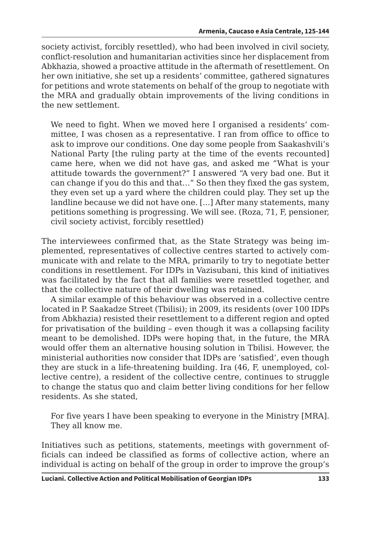society activist, forcibly resettled), who had been involved in civil society, conflict-resolution and humanitarian activities since her displacement from Abkhazia, showed a proactive attitude in the aftermath of resettlement. On her own initiative, she set up a residents' committee, gathered signatures for petitions and wrote statements on behalf of the group to negotiate with the MRA and gradually obtain improvements of the living conditions in the new settlement.

We need to fight. When we moved here I organised a residents' committee, I was chosen as a representative. I ran from office to office to ask to improve our conditions. One day some people from Saakashvili's National Party [the ruling party at the time of the events recounted] came here, when we did not have gas, and asked me "What is your attitude towards the government?" I answered "A very bad one. But it can change if you do this and that…" So then they fixed the gas system, they even set up a yard where the children could play. They set up the landline because we did not have one. [...] After many statements, many petitions something is progressing. We will see. (Roza, 71, F, pensioner, civil society activist, forcibly resettled)

The interviewees confirmed that, as the State Strategy was being implemented, representatives of collective centres started to actively communicate with and relate to the MRA, primarily to try to negotiate better conditions in resettlement. For IDPs in Vazisubani, this kind of initiatives was facilitated by the fact that all families were resettled together, and that the collective nature of their dwelling was retained.

A similar example of this behaviour was observed in a collective centre located in P. Saakadze Street (Tbilisi); in 2009, its residents (over 100 IDPs from Abkhazia) resisted their resettlement to a different region and opted for privatisation of the building – even though it was a collapsing facility meant to be demolished. IDPs were hoping that, in the future, the MRA would offer them an alternative housing solution in Tbilisi. However, the ministerial authorities now consider that IDPs are 'satisfied', even though they are stuck in a life-threatening building. Ira (46, F, unemployed, collective centre), a resident of the collective centre, continues to struggle to change the status quo and claim better living conditions for her fellow residents. As she stated,

For five years I have been speaking to everyone in the Ministry [MRA]. They all know me.

Initiatives such as petitions, statements, meetings with government officials can indeed be classified as forms of collective action, where an individual is acting on behalf of the group in order to improve the group's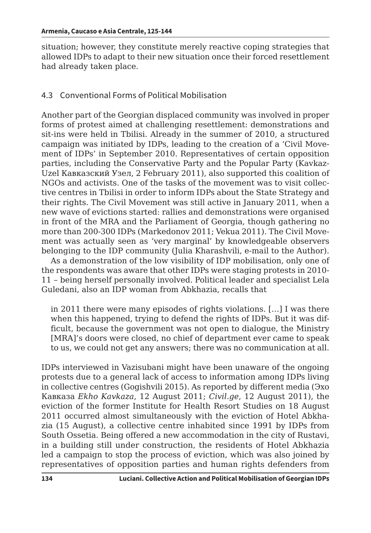situation; however, they constitute merely reactive coping strategies that allowed IDPs to adapt to their new situation once their forced resettlement had already taken place.

#### 4.3 Conventional Forms of Political Mobilisation

Another part of the Georgian displaced community was involved in proper forms of protest aimed at challenging resettlement: demonstrations and sit-ins were held in Tbilisi. Already in the summer of 2010, a structured campaign was initiated by IDPs, leading to the creation of a 'Civil Movement of IDPs' in September 2010. Representatives of certain opposition parties, including the Conservative Party and the Popular Party (Kavkaz-Uzel Кавказский Узел, 2 February 2011), also supported this coalition of NGOs and activists. One of the tasks of the movement was to visit collective centres in Tbilisi in order to inform IDPs about the State Strategy and their rights. The Civil Movement was still active in January 2011, when a new wave of evictions started: rallies and demonstrations were organised in front of the MRA and the Parliament of Georgia, though gathering no more than 200-300 IDPs (Markedonov 2011; Vekua 2011). The Civil Movement was actually seen as 'very marginal' by knowledgeable observers belonging to the IDP community (Julia Kharashvili, e-mail to the Author).

As a demonstration of the low visibility of IDP mobilisation, only one of the respondents was aware that other IDPs were staging protests in 2010- 11 – being herself personally involved. Political leader and specialist Lela Guledani, also an IDP woman from Abkhazia, recalls that

in 2011 there were many episodes of rights violations. […] I was there when this happened, trying to defend the rights of IDPs. But it was difficult, because the government was not open to dialogue, the Ministry [MRA]'s doors were closed, no chief of department ever came to speak to us, we could not get any answers; there was no communication at all.

IDPs interviewed in Vazisubani might have been unaware of the ongoing protests due to a general lack of access to information among IDPs living in collective centres (Gogishvili 2015). As reported by different media (Эхо Кавказа *Ekho Kavkaza*, 12 August 2011; *Civil.ge*, 12 August 2011), the eviction of the former Institute for Health Resort Studies on 18 August 2011 occurred almost simultaneously with the eviction of Hotel Abkhazia (15 August), a collective centre inhabited since 1991 by IDPs from South Ossetia. Being offered a new accommodation in the city of Rustavi, in a building still under construction, the residents of Hotel Abkhazia led a campaign to stop the process of eviction, which was also joined by representatives of opposition parties and human rights defenders from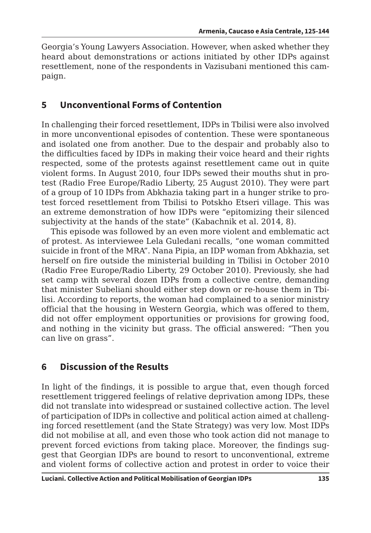Georgia's Young Lawyers Association. However, when asked whether they heard about demonstrations or actions initiated by other IDPs against resettlement, none of the respondents in Vazisubani mentioned this campaign.

## **5 Unconventional Forms of Contention**

In challenging their forced resettlement, IDPs in Tbilisi were also involved in more unconventional episodes of contention. These were spontaneous and isolated one from another. Due to the despair and probably also to the difficulties faced by IDPs in making their voice heard and their rights respected, some of the protests against resettlement came out in quite violent forms. In August 2010, four IDPs sewed their mouths shut in protest (Radio Free Europe/Radio Liberty, 25 August 2010). They were part of a group of 10 IDPs from Abkhazia taking part in a hunger strike to protest forced resettlement from Tbilisi to Potskho Etseri village. This was an extreme demonstration of how IDPs were "epitomizing their silenced subjectivity at the hands of the state" (Kabachnik et al. 2014, 8).

This episode was followed by an even more violent and emblematic act of protest. As interviewee Lela Guledani recalls, "one woman committed suicide in front of the MRA". Nana Pipia, an IDP woman from Abkhazia, set herself on fire outside the ministerial building in Tbilisi in October 2010 (Radio Free Europe/Radio Liberty, 29 October 2010). Previously, she had set camp with several dozen IDPs from a collective centre, demanding that minister Subeliani should either step down or re-house them in Tbilisi. According to reports, the woman had complained to a senior ministry official that the housing in Western Georgia, which was offered to them, did not offer employment opportunities or provisions for growing food, and nothing in the vicinity but grass. The official answered: "Then you can live on grass".

## **6 Discussion of the Results**

In light of the findings, it is possible to argue that, even though forced resettlement triggered feelings of relative deprivation among IDPs, these did not translate into widespread or sustained collective action. The level of participation of IDPs in collective and political action aimed at challenging forced resettlement (and the State Strategy) was very low. Most IDPs did not mobilise at all, and even those who took action did not manage to prevent forced evictions from taking place. Moreover, the findings suggest that Georgian IDPs are bound to resort to unconventional, extreme and violent forms of collective action and protest in order to voice their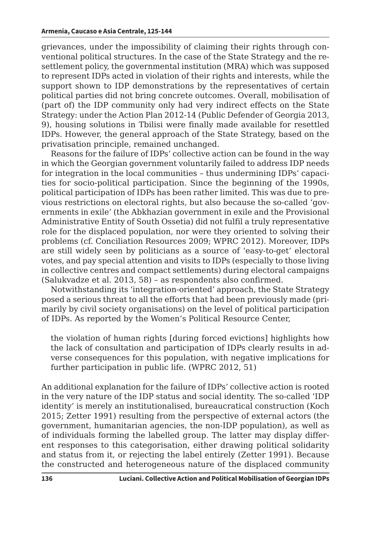grievances, under the impossibility of claiming their rights through conventional political structures. In the case of the State Strategy and the resettlement policy, the governmental institution (MRA) which was supposed to represent IDPs acted in violation of their rights and interests, while the support shown to IDP demonstrations by the representatives of certain political parties did not bring concrete outcomes. Overall, mobilisation of (part of) the IDP community only had very indirect effects on the State Strategy: under the Action Plan 2012-14 (Public Defender of Georgia 2013, 9), housing solutions in Tbilisi were finally made available for resettled IDPs. However, the general approach of the State Strategy, based on the privatisation principle, remained unchanged.

Reasons for the failure of IDPs' collective action can be found in the way in which the Georgian government voluntarily failed to address IDP needs for integration in the local communities – thus undermining IDPs' capacities for socio-political participation. Since the beginning of the 1990s, political participation of IDPs has been rather limited. This was due to previous restrictions on electoral rights, but also because the so-called 'governments in exile' (the Abkhazian government in exile and the Provisional Administrative Entity of South Ossetia) did not fulfil a truly representative role for the displaced population, nor were they oriented to solving their problems (cf. Conciliation Resources 2009; WPRC 2012). Moreover, IDPs are still widely seen by politicians as a source of 'easy-to-get' electoral votes, and pay special attention and visits to IDPs (especially to those living in collective centres and compact settlements) during electoral campaigns (Salukvadze et al. 2013, 58) – as respondents also confirmed.

Notwithstanding its 'integration-oriented' approach, the State Strategy posed a serious threat to all the efforts that had been previously made (primarily by civil society organisations) on the level of political participation of IDPs. As reported by the Women's Political Resource Center,

the violation of human rights [during forced evictions] highlights how the lack of consultation and participation of IDPs clearly results in adverse consequences for this population, with negative implications for further participation in public life. (WPRC 2012, 51)

An additional explanation for the failure of IDPs' collective action is rooted in the very nature of the IDP status and social identity. The so-called 'IDP identity' is merely an institutionalised, bureaucratical construction (Koch 2015; Zetter 1991) resulting from the perspective of external actors (the government, humanitarian agencies, the non-IDP population), as well as of individuals forming the labelled group. The latter may display different responses to this categorisation, either drawing political solidarity and status from it, or rejecting the label entirely (Zetter 1991). Because the constructed and heterogeneous nature of the displaced community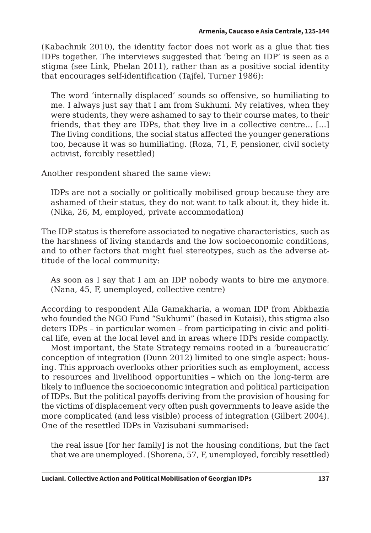(Kabachnik 2010), the identity factor does not work as a glue that ties IDPs together. The interviews suggested that 'being an IDP' is seen as a stigma (see Link, Phelan 2011), rather than as a positive social identity that encourages self-identification (Tajfel, Turner 1986):

The word 'internally displaced' sounds so offensive, so humiliating to me. I always just say that I am from Sukhumi. My relatives, when they were students, they were ashamed to say to their course mates, to their friends, that they are IDPs, that they live in a collective centre... [...] The living conditions, the social status affected the younger generations too, because it was so humiliating. (Roza, 71, F, pensioner, civil society activist, forcibly resettled)

Another respondent shared the same view:

IDPs are not a socially or politically mobilised group because they are ashamed of their status, they do not want to talk about it, they hide it. (Nika, 26, M, employed, private accommodation)

The IDP status is therefore associated to negative characteristics, such as the harshness of living standards and the low socioeconomic conditions, and to other factors that might fuel stereotypes, such as the adverse attitude of the local community:

As soon as I say that I am an IDP nobody wants to hire me anymore. (Nana, 45, F, unemployed, collective centre)

According to respondent Alla Gamakharia, a woman IDP from Abkhazia who founded the NGO Fund "Sukhumi" (based in Kutaisi), this stigma also deters IDPs – in particular women – from participating in civic and political life, even at the local level and in areas where IDPs reside compactly.

Most important, the State Strategy remains rooted in a 'bureaucratic' conception of integration (Dunn 2012) limited to one single aspect: housing. This approach overlooks other priorities such as employment, access to resources and livelihood opportunities – which on the long-term are likely to influence the socioeconomic integration and political participation of IDPs. But the political payoffs deriving from the provision of housing for the victims of displacement very often push governments to leave aside the more complicated (and less visible) process of integration (Gilbert 2004). One of the resettled IDPs in Vazisubani summarised:

the real issue [for her family] is not the housing conditions, but the fact that we are unemployed. (Shorena, 57, F, unemployed, forcibly resettled)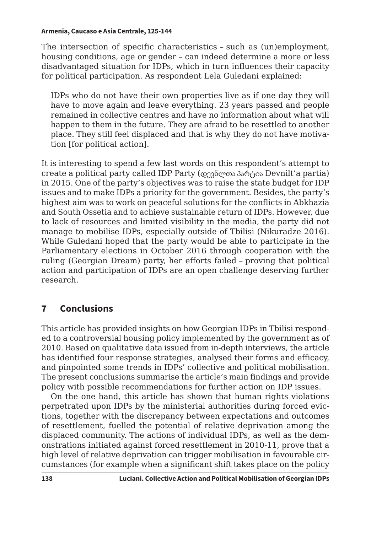The intersection of specific characteristics – such as (un)employment, housing conditions, age or gender – can indeed determine a more or less disadvantaged situation for IDPs, which in turn influences their capacity for political participation. As respondent Lela Guledani explained:

IDPs who do not have their own properties live as if one day they will have to move again and leave everything. 23 years passed and people remained in collective centres and have no information about what will happen to them in the future. They are afraid to be resettled to another place. They still feel displaced and that is why they do not have motivation [for political action].

It is interesting to spend a few last words on this respondent's attempt to create a political party called IDP Party (დევნლთა პარტია Devnilt'a partia) in 2015. One of the party's objectives was to raise the state budget for IDP issues and to make IDPs a priority for the government. Besides, the party's highest aim was to work on peaceful solutions for the conflicts in Abkhazia and South Ossetia and to achieve sustainable return of IDPs. However, due to lack of resources and limited visibility in the media, the party did not manage to mobilise IDPs, especially outside of Tbilisi (Nikuradze 2016). While Guledani hoped that the party would be able to participate in the Parliamentary elections in October 2016 through cooperation with the ruling (Georgian Dream) party, her efforts failed – proving that political action and participation of IDPs are an open challenge deserving further research.

## **7 Conclusions**

This article has provided insights on how Georgian IDPs in Tbilisi responded to a controversial housing policy implemented by the government as of 2010. Based on qualitative data issued from in-depth interviews, the article has identified four response strategies, analysed their forms and efficacy, and pinpointed some trends in IDPs' collective and political mobilisation. The present conclusions summarise the article's main findings and provide policy with possible recommendations for further action on IDP issues.

On the one hand, this article has shown that human rights violations perpetrated upon IDPs by the ministerial authorities during forced evictions, together with the discrepancy between expectations and outcomes of resettlement, fuelled the potential of relative deprivation among the displaced community. The actions of individual IDPs, as well as the demonstrations initiated against forced resettlement in 2010-11, prove that a high level of relative deprivation can trigger mobilisation in favourable circumstances (for example when a significant shift takes place on the policy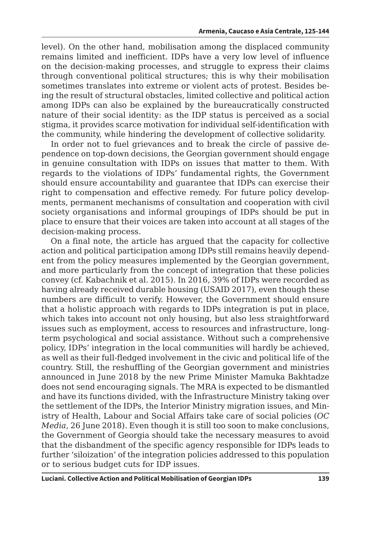level). On the other hand, mobilisation among the displaced community remains limited and inefficient. IDPs have a very low level of influence on the decision-making processes, and struggle to express their claims through conventional political structures; this is why their mobilisation sometimes translates into extreme or violent acts of protest. Besides being the result of structural obstacles, limited collective and political action among IDPs can also be explained by the bureaucratically constructed nature of their social identity: as the IDP status is perceived as a social stigma, it provides scarce motivation for individual self-identification with the community, while hindering the development of collective solidarity.

In order not to fuel grievances and to break the circle of passive dependence on top-down decisions, the Georgian government should engage in genuine consultation with IDPs on issues that matter to them. With regards to the violations of IDPs' fundamental rights, the Government should ensure accountability and guarantee that IDPs can exercise their right to compensation and effective remedy. For future policy developments, permanent mechanisms of consultation and cooperation with civil society organisations and informal groupings of IDPs should be put in place to ensure that their voices are taken into account at all stages of the decision-making process.

On a final note, the article has argued that the capacity for collective action and political participation among IDPs still remains heavily dependent from the policy measures implemented by the Georgian government, and more particularly from the concept of integration that these policies convey (cf. Kabachnik et al. 2015). In 2016, 39% of IDPs were recorded as having already received durable housing (USAID 2017), even though these numbers are difficult to verify. However, the Government should ensure that a holistic approach with regards to IDPs integration is put in place, which takes into account not only housing, but also less straightforward issues such as employment, access to resources and infrastructure, longterm psychological and social assistance. Without such a comprehensive policy, IDPs' integration in the local communities will hardly be achieved, as well as their full-fledged involvement in the civic and political life of the country. Still, the reshuffling of the Georgian government and ministries announced in June 2018 by the new Prime Minister Mamuka Bakhtadze does not send encouraging signals. The MRA is expected to be dismantled and have its functions divided, with the Infrastructure Ministry taking over the settlement of the IDPs, the Interior Ministry migration issues, and Ministry of Health, Labour and Social Affairs take care of social policies (*OC Media*, 26 June 2018). Even though it is still too soon to make conclusions, the Government of Georgia should take the necessary measures to avoid that the disbandment of the specific agency responsible for IDPs leads to further 'siloization' of the integration policies addressed to this population or to serious budget cuts for IDP issues.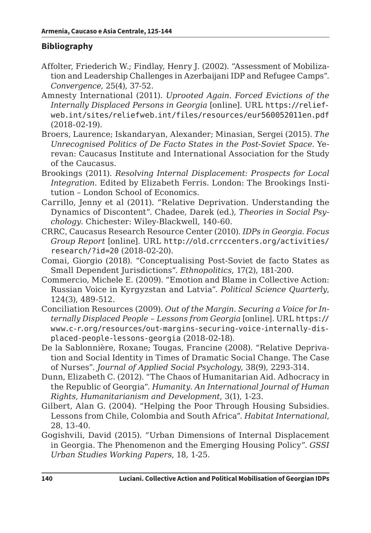### **Bibliography**

- Affolter, Friederich W.; Findlay, Henry J. (2002). "Assessment of Mobilization and Leadership Challenges in Azerbaijani IDP and Refugee Camps". *Convergence*, 25(4), 37-52.
- Amnesty International (2011). *Uprooted Again. Forced Evictions of the Internally Displaced Persons in Georgia* [online]. URL https://reliefweb.int/sites/reliefweb.int/files/resources/eur560052011en.pdf (2018-02-19).
- Broers, Laurence; Iskandaryan, Alexander; Minasian, Sergei (2015). *The Unrecognised Politics of De Facto States in the Post-Soviet Space.* Yerevan: Caucasus Institute and International Association for the Study of the Caucasus.
- Brookings (2011). *Resolving Internal Displacement: Prospects for Local Integration*. Edited by Elizabeth Ferris. London: The Brookings Institution – London School of Economics.
- Carrillo, Jenny et al (2011). "Relative Deprivation. Understanding the Dynamics of Discontent". Chadee, Darek (ed.), *Theories in Social Psychology*. Chichester: Wiley-Blackwell, 140-60.
- CRRC, Caucasus Research Resource Center (2010). *IDPs in Georgia. Focus Group Report* [online]. URL http://old.crrccenters.org/activities/ research/?id=20 (2018-02-20).
- Comai, Giorgio (2018). "Conceptualising Post-Soviet de facto States as Small Dependent Jurisdictions". *Ethnopolitics*, 17(2), 181-200.
- Commercio, Michele E. (2009). "Emotion and Blame in Collective Action: Russian Voice in Kyrgyzstan and Latvia". *Political Science Quarterly*, 124(3), 489-512.
- Conciliation Resources (2009). *Out of the Margin. Securing a Voice for Internally Displaced People – Lessons from Georgia* [online]. URL https:// www.c-r.org/resources/out-margins-securing-voice-internally-displaced-people-lessons-georgia (2018-02-18).
- De la Sablonnière, Roxane; Tougas, Francine (2008). "Relative Deprivation and Social Identity in Times of Dramatic Social Change. The Case of Nurses". *Journal of Applied Social Psychology*, 38(9), 2293-314.
- Dunn, Elizabeth C. (2012). "The Chaos of Humanitarian Aid. Adhocracy in the Republic of Georgia". *Humanity. An International Journal of Human Rights, Humanitarianism and Development*, 3(1), 1-23.
- Gilbert, Alan G. (2004). "Helping the Poor Through Housing Subsidies. Lessons from Chile, Colombia and South Africa". *Habitat International*, 28, 13-40.
- Gogishvili, David (2015). "Urban Dimensions of Internal Displacement in Georgia. The Phenomenon and the Emerging Housing Policy". *GSSI Urban Studies Working Papers*, 18, 1-25.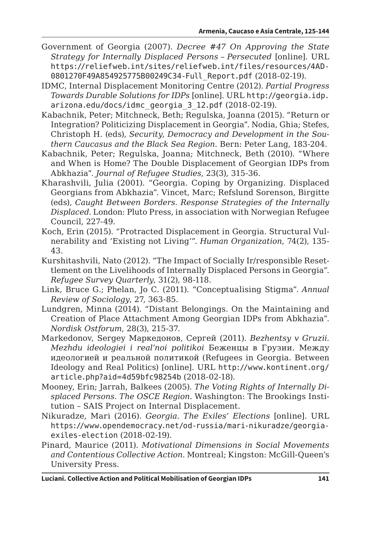- Government of Georgia (2007). *Decree #47 On Approving the State Strategy for Internally Displaced Persons – Persecuted* [online]. URL https://reliefweb.int/sites/reliefweb.int/files/resources/4AD-0801270F49A854925775B00249C34-Full\_Report.pdf (2018-02-19).
- IDMC, Internal Displacement Monitoring Centre (2012). *Partial Progress Towards Durable Solutions for IDPs* [online]. URL http://georgia.idp. arizona.edu/docs/idmc\_georgia\_3\_12.pdf (2018-02-19).
- Kabachnik, Peter; Mitchneck, Beth; Regulska, Joanna (2015). "Return or Integration? Politicizing Displacement in Georgia". Nodia, Ghia; Stefes, Christoph H. (eds), *Security, Democracy and Development in the Southern Caucasus and the Black Sea Region*. Bern: Peter Lang, 183-204.
- Kabachnik, Peter; Regulska, Joanna; Mitchneck, Beth (2010). "Where and When is Home? The Double Displacement of Georgian IDPs from Abkhazia". *Journal of Refugee Studies*, 23(3), 315-36.
- Kharashvili, Julia (2001). "Georgia. Coping by Organizing. Displaced Georgians from Abkhazia". Vincet, Marc; Refslund Sorenson, Birgitte (eds), *Caught Between Borders. Response Strategies of the Internally Displaced*. London: Pluto Press, in association with Norwegian Refugee Council, 227-49.
- Koch, Erin (2015). "Protracted Displacement in Georgia. Structural Vulnerability and 'Existing not Living'". *Human Organization*, 74(2), 135- 43.
- Kurshitashvili, Nato (2012). "The Impact of Socially Ir/responsible Resettlement on the Livelihoods of Internally Displaced Persons in Georgia". *Refugee Survey Quarterly*, 31(2), 98-118.
- Link, Bruce G.; Phelan, Jo C. (2011). "Conceptualising Stigma". *Annual Review of Sociology*, 27, 363-85.
- Lundgren, Minna (2014). "Distant Belongings. On the Maintaining and Creation of Place Attachment Among Georgian IDPs from Abkhazia". *Nordisk Ostforum*, 28(3), 215-37.
- Markedonov, Sergey Маркедонов, Сергей (2011). *Bezhentsy v Gruzii. Mezhdu ideologiei i real'noi politikoi* Беженцы в Грузии. Между идеологией и реальной политикой (Refugees in Georgia. Between Ideology and Real Politics) [online]. URL http://www.kontinent.org/ article.php?aid=4d59bfc98254b (2018-02-18).
- Mooney, Erin; Jarrah, Balkees (2005). *The Voting Rights of Internally Displaced Persons. The OSCE Region*. Washington: The Brookings Institution – SAIS Project on Internal Displacement.
- Nikuradze, Mari (2016). *Georgia. The Exiles' Elections* [online]. URL https://www.opendemocracy.net/od-russia/mari-nikuradze/georgiaexiles-election (2018-02-19).
- Pinard, Maurice (2011). *Motivational Dimensions in Social Movements and Contentious Collective Action*. Montreal; Kingston: McGill-Queen's University Press.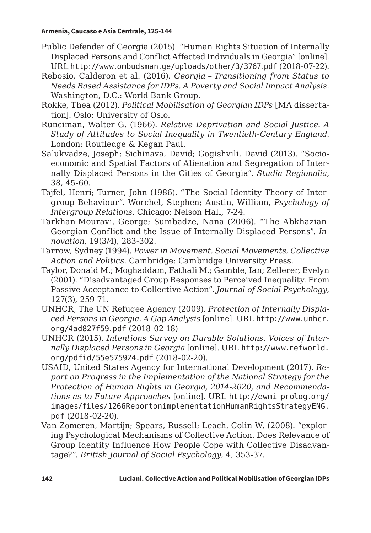- Public Defender of Georgia (2015). "Human Rights Situation of Internally Displaced Persons and Conflict Affected Individuals in Georgia" [online]. URL http://www.ombudsman.ge/uploads/other/3/3767.pdf (2018-07-22).
- Rebosio, Calderon et al. (2016). *Georgia – Transitioning from Status to Needs Based Assistance for IDPs. A Poverty and Social Impact Analysis*. Washington, D.C.: World Bank Group.
- Rokke, Thea (2012). *Political Mobilisation of Georgian IDPs* [MA dissertation]. Oslo: University of Oslo.
- Runciman, Walter G. (1966). *Relative Deprivation and Social Justice. A Study of Attitudes to Social Inequality in Twentieth-Century England*. London: Routledge & Kegan Paul.
- Salukvadze, Joseph; Sichinava, David; Gogishvili, David (2013). "Socioeconomic and Spatial Factors of Alienation and Segregation of Internally Displaced Persons in the Cities of Georgia". *Studia Regionalia*, 38, 45-60.
- Tajfel, Henri; Turner, John (1986). "The Social Identity Theory of Intergroup Behaviour". Worchel, Stephen; Austin, William, *Psychology of Intergroup Relations*. Chicago: Nelson Hall, 7-24.
- Tarkhan-Mouravi, George; Sumbadze, Nana (2006). "The Abkhazian-Georgian Conflict and the Issue of Internally Displaced Persons". *Innovation*, 19(3/4), 283-302.
- Tarrow, Sydney (1994). *Power in Movement. Social Movements, Collective Action and Politics*. Cambridge: Cambridge University Press.
- Taylor, Donald M.; Moghaddam, Fathali M.; Gamble, Ian; Zellerer, Evelyn (2001). "Disadvantaged Group Responses to Perceived Inequality. From Passive Acceptance to Collective Action". *Journal of Social Psychology*, 127(3), 259-71.
- UNHCR, The UN Refugee Agency (2009). *Protection of Internally Displaced Persons in Georgia. A Gap Analysis* [online]. URL http://www.unhcr. org/4ad827f59.pdf (2018-02-18)
- UNHCR (2015). *Intentions Survey on Durable Solutions. Voices of Internally Displaced Persons in Georgia* [online]. URL http://www.refworld. org/pdfid/55e575924.pdf (2018-02-20).
- USAID, United States Agency for International Development (2017). *Report on Progress in the Implementation of the National Strategy for the Protection of Human Rights in Georgia, 2014-2020, and Recommendations as to Future Approaches* [online]. URL http://ewmi-prolog.org/ images/files/1266ReportonimplementationHumanRightsStrategyENG. pdf (2018-02-20).
- Van Zomeren, Martijn; Spears, Russell; Leach, Colin W. (2008). "exploring Psychological Mechanisms of Collective Action. Does Relevance of Group Identity Influence How People Cope with Collective Disadvantage?". *British Journal of Social Psychology*, 4, 353-37.